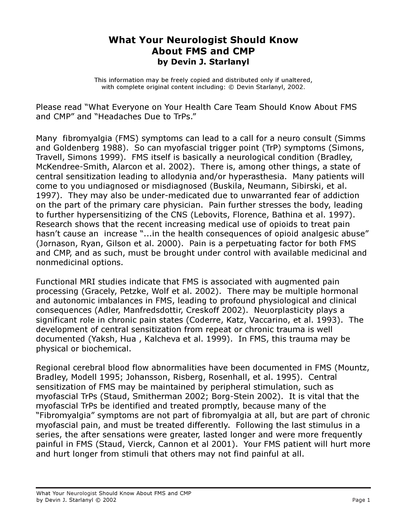## What Your Neurologist Should Know About FMS and CMP by Devin J. Starlanyl

This information may be freely copied and distributed only if unaltered, with complete original content including: © Devin Starlanyl, 2002.

Please read "What Everyone on Your Health Care Team Should Know About FMS and CMP" and "Headaches Due to TrPs."

Many fibromyalgia (FMS) symptoms can lead to a call for a neuro consult (Simms and Goldenberg 1988). So can myofascial trigger point (TrP) symptoms (Simons, Travell, Simons 1999). FMS itself is basically a neurological condition (Bradley, McKendree-Smith, Alarcon et al. 2002). There is, among other things, a state of central sensitization leading to allodynia and/or hyperasthesia. Many patients will come to you undiagnosed or misdiagnosed (Buskila, Neumann, Sibirski, et al. 1997). They may also be under-medicated due to unwarranted fear of addiction on the part of the primary care physician. Pain further stresses the body, leading to further hypersensitizing of the CNS (Lebovits, Florence, Bathina et al. 1997). Research shows that the recent increasing medical use of opioids to treat pain hasn't cause an increase "...in the health consequences of opioid analgesic abuse" (Jornason, Ryan, Gilson et al. 2000). Pain is a perpetuating factor for both FMS and CMP, and as such, must be brought under control with available medicinal and nonmedicinal options.

Functional MRI studies indicate that FMS is associated with augmented pain processing (Gracely, Petzke, Wolf et al. 2002). There may be multiple hormonal and autonomic imbalances in FMS, leading to profound physiological and clinical consequences (Adler, Manfredsdottir, Creskoff 2002). Neuorplasticity plays a significant role in chronic pain states (Coderre, Katz, Vaccarino, et al. 1993). The development of central sensitization from repeat or chronic trauma is well documented (Yaksh, Hua , Kalcheva et al. 1999). In FMS, this trauma may be physical or biochemical.

Regional cerebral blood flow abnormalities have been documented in FMS (Mountz, Bradley, Modell 1995; Johansson, Risberg, Rosenhall, et al. 1995). Central sensitization of FMS may be maintained by peripheral stimulation, such as myofascial TrPs (Staud, Smitherman 2002; Borg-Stein 2002). It is vital that the myofascial TrPs be identified and treated promptly, because many of the "Fibromyalgia" symptoms are not part of fibromyalgia at all, but are part of chronic myofascial pain, and must be treated differently. Following the last stimulus in a series, the after sensations were greater, lasted longer and were more frequently painful in FMS (Staud, Vierck, Cannon et al 2001). Your FMS patient will hurt more and hurt longer from stimuli that others may not find painful at all.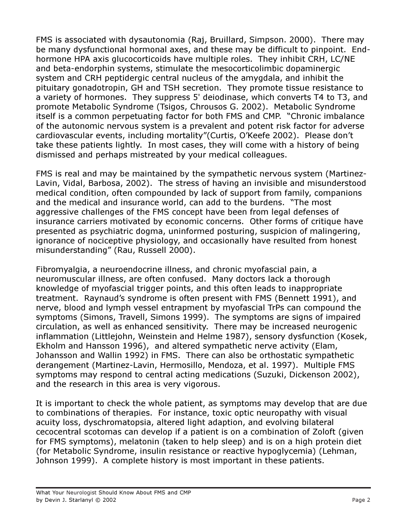FMS is associated with dysautonomia (Raj, Bruillard, Simpson. 2000). There may be many dysfunctional hormonal axes, and these may be difficult to pinpoint. Endhormone HPA axis glucocorticoids have multiple roles. They inhibit CRH, LC/NE and beta-endorphin systems, stimulate the mesocorticolimbic dopaminergic system and CRH peptidergic central nucleus of the amygdala, and inhibit the pituitary gonadotropin, GH and TSH secretion. They promote tissue resistance to a variety of hormones. They suppress 5' deiodinase, which converts T4 to T3, and promote Metabolic Syndrome (Tsigos, Chrousos G. 2002). Metabolic Syndrome itself is a common perpetuating factor for both FMS and CMP. "Chronic imbalance of the autonomic nervous system is a prevalent and potent risk factor for adverse cardiovascular events, including mortality"(Curtis, O'Keefe 2002). Please don't take these patients lightly. In most cases, they will come with a history of being dismissed and perhaps mistreated by your medical colleagues.

FMS is real and may be maintained by the sympathetic nervous system (Martinez-Lavin, Vidal, Barbosa, 2002). The stress of having an invisible and misunderstood medical condition, often compounded by lack of support from family, companions and the medical and insurance world, can add to the burdens. "The most aggressive challenges of the FMS concept have been from legal defenses of insurance carriers motivated by economic concerns. Other forms of critique have presented as psychiatric dogma, uninformed posturing, suspicion of malingering, ignorance of nociceptive physiology, and occasionally have resulted from honest misunderstanding" (Rau, Russell 2000).

Fibromyalgia, a neuroendocrine illness, and chronic myofascial pain, a neuromuscular illness, are often confused. Many doctors lack a thorough knowledge of myofascial trigger points, and this often leads to inappropriate treatment. Raynaud's syndrome is often present with FMS (Bennett 1991), and nerve, blood and lymph vessel entrapment by myofascial TrPs can compound the symptoms (Simons, Travell, Simons 1999). The symptoms are signs of impaired circulation, as well as enhanced sensitivity. There may be increased neurogenic inflammation (Littlejohn, Weinstein and Helme 1987), sensory dysfunction (Kosek, Ekholm and Hansson 1996), and altered sympathetic nerve activity (Elam, Johansson and Wallin 1992) in FMS. There can also be orthostatic sympathetic derangement (Martinez-Lavin, Hermosillo, Mendoza, et al. 1997). Multiple FMS symptoms may respond to central acting medications (Suzuki, Dickenson 2002), and the research in this area is very vigorous.

It is important to check the whole patient, as symptoms may develop that are due to combinations of therapies. For instance, toxic optic neuropathy with visual acuity loss, dyschromatopsia, altered light adaption, and evolving bilateral cecocentral scotomas can develop if a patient is on a combination of Zoloft (given for FMS symptoms), melatonin (taken to help sleep) and is on a high protein diet (for Metabolic Syndrome, insulin resistance or reactive hypoglycemia) (Lehman, Johnson 1999). A complete history is most important in these patients.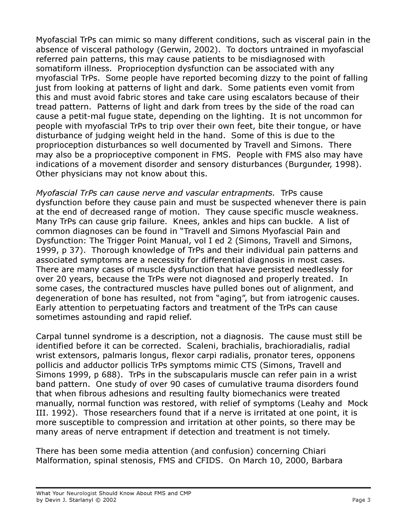Myofascial TrPs can mimic so many different conditions, such as visceral pain in the absence of visceral pathology (Gerwin, 2002). To doctors untrained in myofascial referred pain patterns, this may cause patients to be misdiagnosed with somatiform illness. Proprioception dysfunction can be associated with any myofascial TrPs. Some people have reported becoming dizzy to the point of falling just from looking at patterns of light and dark. Some patients even vomit from this and must avoid fabric stores and take care using escalators because of their tread pattern. Patterns of light and dark from trees by the side of the road can cause a petit-mal fugue state, depending on the lighting. It is not uncommon for people with myofascial TrPs to trip over their own feet, bite their tongue, or have disturbance of judging weight held in the hand. Some of this is due to the proprioception disturbances so well documented by Travell and Simons. There may also be a proprioceptive component in FMS. People with FMS also may have indications of a movement disorder and sensory disturbances (Burgunder, 1998). Other physicians may not know about this.

Myofascial TrPs can cause nerve and vascular entrapments. TrPs cause dysfunction before they cause pain and must be suspected whenever there is pain at the end of decreased range of motion. They cause specific muscle weakness. Many TrPs can cause grip failure. Knees, ankles and hips can buckle. A list of common diagnoses can be found in "Travell and Simons Myofascial Pain and Dysfunction: The Trigger Point Manual, vol I ed 2 (Simons, Travell and Simons, 1999, p 37). Thorough knowledge of TrPs and their individual pain patterns and associated symptoms are a necessity for differential diagnosis in most cases. There are many cases of muscle dysfunction that have persisted needlessly for over 20 years, because the TrPs were not diagnosed and properly treated. In some cases, the contractured muscles have pulled bones out of alignment, and degeneration of bone has resulted, not from "aging", but from iatrogenic causes. Early attention to perpetuating factors and treatment of the TrPs can cause sometimes astounding and rapid relief.

Carpal tunnel syndrome is a description, not a diagnosis. The cause must still be identified before it can be corrected. Scaleni, brachialis, brachioradialis, radial wrist extensors, palmaris longus, flexor carpi radialis, pronator teres, opponens pollicis and adductor pollicis TrPs symptoms mimic CTS (Simons, Travell and Simons 1999, p 688). TrPs in the subscapularis muscle can refer pain in a wrist band pattern. One study of over 90 cases of cumulative trauma disorders found that when fibrous adhesions and resulting faulty biomechanics were treated manually, normal function was restored, with relief of symptoms (Leahy and Mock III. 1992). Those researchers found that if a nerve is irritated at one point, it is more susceptible to compression and irritation at other points, so there may be many areas of nerve entrapment if detection and treatment is not timely.

There has been some media attention (and confusion) concerning Chiari Malformation, spinal stenosis, FMS and CFIDS. On March 10, 2000, Barbara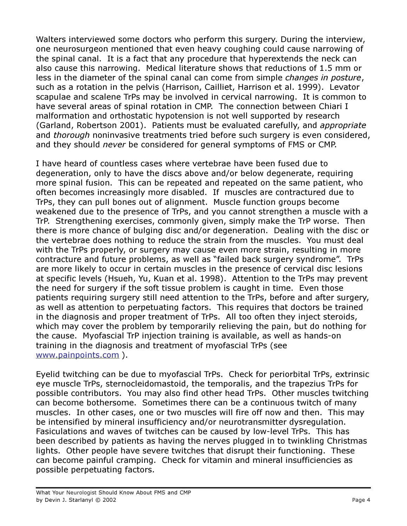Walters interviewed some doctors who perform this surgery. During the interview, one neurosurgeon mentioned that even heavy coughing could cause narrowing of the spinal canal. It is a fact that any procedure that hyperextends the neck can also cause this narrowing. Medical literature shows that reductions of 1.5 mm or less in the diameter of the spinal canal can come from simple changes in posture, such as a rotation in the pelvis (Harrison, Cailliet, Harrison et al. 1999). Levator scapulae and scalene TrPs may be involved in cervical narrowing. It is common to have several areas of spinal rotation in CMP. The connection between Chiari I malformation and orthostatic hypotension is not well supported by research (Garland, Robertson 2001). Patients must be evaluated carefully, and appropriate and thorough noninvasive treatments tried before such surgery is even considered, and they should never be considered for general symptoms of FMS or CMP.

I have heard of countless cases where vertebrae have been fused due to degeneration, only to have the discs above and/or below degenerate, requiring more spinal fusion. This can be repeated and repeated on the same patient, who often becomes increasingly more disabled. If muscles are contractured due to TrPs, they can pull bones out of alignment. Muscle function groups become weakened due to the presence of TrPs, and you cannot strengthen a muscle with a TrP. Strengthening exercises, commonly given, simply make the TrP worse. Then there is more chance of bulging disc and/or degeneration. Dealing with the disc or the vertebrae does nothing to reduce the strain from the muscles. You must deal with the TrPs properly, or surgery may cause even more strain, resulting in more contracture and future problems, as well as "failed back surgery syndrome". TrPs are more likely to occur in certain muscles in the presence of cervical disc lesions at specific levels (Hsueh, Yu, Kuan et al. 1998). Attention to the TrPs may prevent the need for surgery if the soft tissue problem is caught in time. Even those patients requiring surgery still need attention to the TrPs, before and after surgery, as well as attention to perpetuating factors. This requires that doctors be trained in the diagnosis and proper treatment of TrPs. All too often they inject steroids, which may cover the problem by temporarily relieving the pain, but do nothing for the cause. Myofascial TrP injection training is available, as well as hands-on training in the diagnosis and treatment of myofascial TrPs (see www.painpoints.com ).

Eyelid twitching can be due to myofascial TrPs. Check for periorbital TrPs, extrinsic eye muscle TrPs, sternocleidomastoid, the temporalis, and the trapezius TrPs for possible contributors. You may also find other head TrPs. Other muscles twitching can become bothersome. Sometimes there can be a continuous twitch of many muscles. In other cases, one or two muscles will fire off now and then. This may be intensified by mineral insufficiency and/or neurotransmitter dysregulation. Fasiculations and waves of twitches can be caused by low-level TrPs. This has been described by patients as having the nerves plugged in to twinkling Christmas lights. Other people have severe twitches that disrupt their functioning. These can become painful cramping. Check for vitamin and mineral insufficiencies as possible perpetuating factors.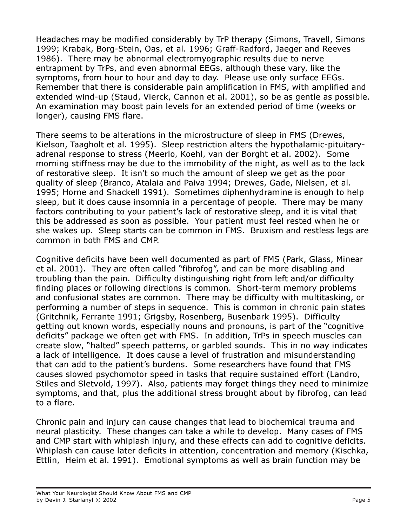Headaches may be modified considerably by TrP therapy (Simons, Travell, Simons 1999; Krabak, Borg-Stein, Oas, et al. 1996; Graff-Radford, Jaeger and Reeves 1986). There may be abnormal electromyographic results due to nerve entrapment by TrPs, and even abnormal EEGs, although these vary, like the symptoms, from hour to hour and day to day. Please use only surface EEGs. Remember that there is considerable pain amplification in FMS, with amplified and extended wind-up (Staud, Vierck, Cannon et al. 2001), so be as gentle as possible. An examination may boost pain levels for an extended period of time (weeks or longer), causing FMS flare.

There seems to be alterations in the microstructure of sleep in FMS (Drewes, Kielson, Taagholt et al. 1995). Sleep restriction alters the hypothalamic-pituitaryadrenal response to stress (Meerlo, Koehl, van der Borght et al. 2002). Some morning stiffness may be due to the immobility of the night, as well as to the lack of restorative sleep. It isn't so much the amount of sleep we get as the poor quality of sleep (Branco, Atalaia and Paiva 1994; Drewes, Gade, Nielsen, et al. 1995; Horne and Shackell 1991). Sometimes diphenhydramine is enough to help sleep, but it does cause insomnia in a percentage of people. There may be many factors contributing to your patient's lack of restorative sleep, and it is vital that this be addressed as soon as possible. Your patient must feel rested when he or she wakes up. Sleep starts can be common in FMS. Bruxism and restless legs are common in both FMS and CMP.

Cognitive deficits have been well documented as part of FMS (Park, Glass, Minear et al. 2001). They are often called "fibrofog", and can be more disabling and troubling than the pain. Difficulty distinguishing right from left and/or difficulty finding places or following directions is common. Short-term memory problems and confusional states are common. There may be difficulty with multitasking, or performing a number of steps in sequence. This is common in chronic pain states (Gritchnik, Ferrante 1991; Grigsby, Rosenberg, Busenbark 1995). Difficulty getting out known words, especially nouns and pronouns, is part of the "cognitive deficits" package we often get with FMS. In addition, TrPs in speech muscles can create slow, "halted" speech patterns, or garbled sounds. This in no way indicates a lack of intelligence. It does cause a level of frustration and misunderstanding that can add to the patient's burdens. Some researchers have found that FMS causes slowed psychomotor speed in tasks that require sustained effort (Landro, Stiles and Sletvold, 1997). Also, patients may forget things they need to minimize symptoms, and that, plus the additional stress brought about by fibrofog, can lead to a flare.

Chronic pain and injury can cause changes that lead to biochemical trauma and neural plasticity. These changes can take a while to develop. Many cases of FMS and CMP start with whiplash injury, and these effects can add to cognitive deficits. Whiplash can cause later deficits in attention, concentration and memory (Kischka, Ettlin, Heim et al. 1991). Emotional symptoms as well as brain function may be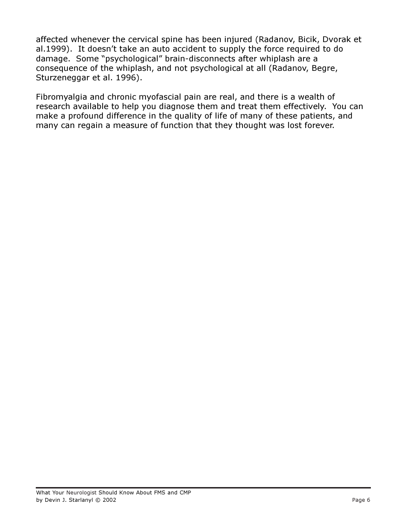affected whenever the cervical spine has been injured (Radanov, Bicik, Dvorak et al.1999). It doesn't take an auto accident to supply the force required to do damage. Some "psychological" brain-disconnects after whiplash are a consequence of the whiplash, and not psychological at all (Radanov, Begre, Sturzeneggar et al. 1996).

Fibromyalgia and chronic myofascial pain are real, and there is a wealth of research available to help you diagnose them and treat them effectively. You can make a profound difference in the quality of life of many of these patients, and many can regain a measure of function that they thought was lost forever.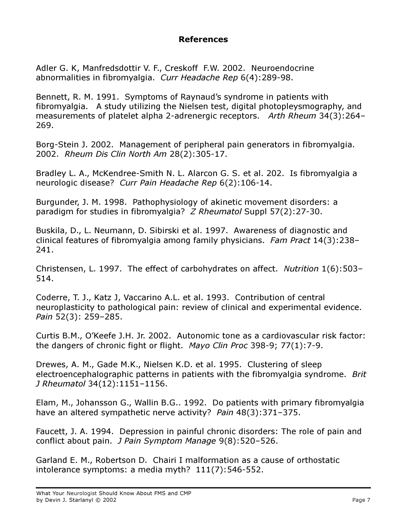## References

Adler G. K, Manfredsdottir V. F., Creskoff F.W. 2002. Neuroendocrine abnormalities in fibromyalgia. Curr Headache Rep 6(4):289-98.

Bennett, R. M. 1991. Symptoms of Raynaud's syndrome in patients with fibromyalgia. A study utilizing the Nielsen test, digital photopleysmography, and measurements of platelet alpha 2-adrenergic receptors. Arth Rheum 34(3):264– 269.

Borg-Stein J. 2002. Management of peripheral pain generators in fibromyalgia. 2002. Rheum Dis Clin North Am 28(2):305-17.

Bradley L. A., McKendree-Smith N. L. Alarcon G. S. et al. 202. Is fibromyalgia a neurologic disease? Curr Pain Headache Rep 6(2):106-14.

Burgunder, J. M. 1998. Pathophysiology of akinetic movement disorders: a paradigm for studies in fibromyalgia? *Z Rheumatol* Suppl 57(2):27-30.

Buskila, D., L. Neumann, D. Sibirski et al. 1997. Awareness of diagnostic and clinical features of fibromyalgia among family physicians. Fam Pract 14(3):238– 241.

Christensen, L. 1997. The effect of carbohydrates on affect. Nutrition 1(6):503– 514.

Coderre, T. J., Katz J, Vaccarino A.L. et al. 1993. Contribution of central neuroplasticity to pathological pain: review of clinical and experimental evidence. Pain 52(3): 259–285.

Curtis B.M., O'Keefe J.H. Jr. 2002. Autonomic tone as a cardiovascular risk factor: the dangers of chronic fight or flight. Mayo Clin Proc 398-9; 77(1):7-9.

Drewes, A. M., Gade M.K., Nielsen K.D. et al. 1995. Clustering of sleep electroencephalographic patterns in patients with the fibromyalgia syndrome. Brit J Rheumatol 34(12):1151–1156.

Elam, M., Johansson G., Wallin B.G.. 1992. Do patients with primary fibromyalgia have an altered sympathetic nerve activity? Pain 48(3):371-375.

Faucett, J. A. 1994. Depression in painful chronic disorders: The role of pain and conflict about pain. J Pain Symptom Manage 9(8):520–526.

Garland E. M., Robertson D. Chairi I malformation as a cause of orthostatic intolerance symptoms: a media myth? 111(7):546-552.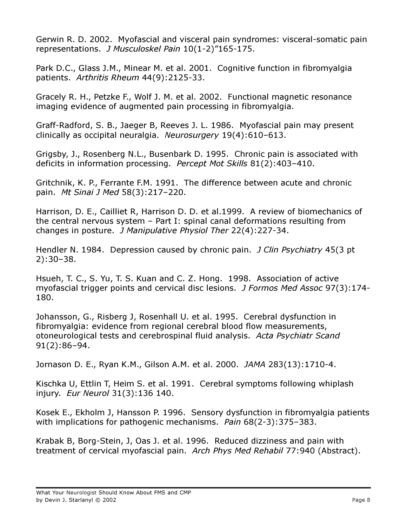Gerwin R. D. 2002. Myofascial and visceral pain syndromes: visceral-somatic pain representations. J Musculoskel Pain 10(1-2)"165-175.

Park D.C., Glass J.M., Minear M. et al. 2001. Cognitive function in fibromyalgia patients. Arthritis Rheum 44(9):2125-33.

Gracely R. H., Petzke F., Wolf J. M. et al. 2002. Functional magnetic resonance imaging evidence of augmented pain processing in fibromyalgia.

Graff-Radford, S. B., Jaeger B, Reeves J. L. 1986. Myofascial pain may present clinically as occipital neuralgia. Neurosurgery 19(4):610–613.

Grigsby, J., Rosenberg N.L., Busenbark D. 1995. Chronic pain is associated with deficits in information processing. Percept Mot Skills 81(2):403–410.

Gritchnik, K. P., Ferrante F.M. 1991. The difference between acute and chronic pain. Mt Sinai J Med 58(3):217–220.

Harrison, D. E., Cailliet R, Harrison D. D. et al.1999. A review of biomechanics of the central nervous system – Part I: spinal canal deformations resulting from changes in posture. J Manipulative Physiol Ther 22(4):227-34.

Hendler N. 1984. Depression caused by chronic pain. *J Clin Psychiatry* 45(3 pt) 2):30–38.

Hsueh, T. C., S. Yu, T. S. Kuan and C. Z. Hong. 1998. Association of active myofascial trigger points and cervical disc lesions. J Formos Med Assoc 97(3):174- 180.

Johansson, G., Risberg J, Rosenhall U. et al. 1995. Cerebral dysfunction in fibromyalgia: evidence from regional cerebral blood flow measurements, otoneurological tests and cerebrospinal fluid analysis. Acta Psychiatr Scand 91(2):86–94.

Jornason D. E., Ryan K.M., Gilson A.M. et al. 2000. JAMA 283(13):1710-4.

Kischka U, Ettlin T, Heim S. et al. 1991. Cerebral symptoms following whiplash injury. Eur Neurol 31(3):136 140.

Kosek E., Ekholm J, Hansson P. 1996. Sensory dysfunction in fibromyalgia patients with implications for pathogenic mechanisms. Pain  $68(2-3):375-383$ .

Krabak B, Borg-Stein, J, Oas J. et al. 1996. Reduced dizziness and pain with treatment of cervical myofascial pain. Arch Phys Med Rehabil 77:940 (Abstract).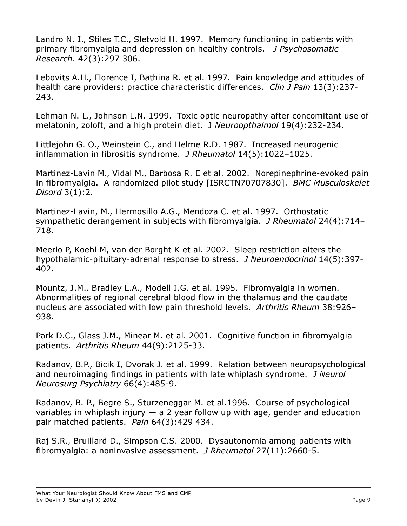Landro N. I., Stiles T.C., Sletvold H. 1997. Memory functioning in patients with primary fibromyalgia and depression on healthy controls. J Psychosomatic Research. 42(3):297 306.

Lebovits A.H., Florence I, Bathina R. et al. 1997. Pain knowledge and attitudes of health care providers: practice characteristic differences. Clin J Pain 13(3):237-243.

Lehman N. L., Johnson L.N. 1999. Toxic optic neuropathy after concomitant use of melatonin, zoloft, and a high protein diet. J Neuroopthalmol 19(4):232-234.

Littlejohn G. O., Weinstein C., and Helme R.D. 1987. Increased neurogenic inflammation in fibrositis syndrome. *J Rheumatol* 14(5):1022-1025.

Martinez-Lavin M., Vidal M., Barbosa R. E et al. 2002. Norepinephrine-evoked pain in fibromyalgia. A randomized pilot study [ISRCTN70707830]. BMC Musculoskelet Disord 3(1):2.

Martinez-Lavin, M., Hermosillo A.G., Mendoza C. et al. 1997. Orthostatic sympathetic derangement in subjects with fibromyalgia. J Rheumatol 24(4):714– 718.

Meerlo P, Koehl M, van der Borght K et al. 2002. Sleep restriction alters the hypothalamic-pituitary-adrenal response to stress. J Neuroendocrinol 14(5):397- 402.

Mountz, J.M., Bradley L.A., Modell J.G. et al. 1995. Fibromyalgia in women. Abnormalities of regional cerebral blood flow in the thalamus and the caudate nucleus are associated with low pain threshold levels. Arthritis Rheum 38:926– 938.

Park D.C., Glass J.M., Minear M. et al. 2001. Cognitive function in fibromyalgia patients. Arthritis Rheum 44(9):2125-33.

Radanov, B.P., Bicik I, Dvorak J. et al. 1999. Relation between neuropsychological and neuroimaging findings in patients with late whiplash syndrome. J Neurol Neurosurg Psychiatry 66(4):485-9.

Radanov, B. P., Begre S., Sturzeneggar M. et al.1996. Course of psychological variables in whiplash injury  $-$  a 2 year follow up with age, gender and education pair matched patients. Pain 64(3):429 434.

Raj S.R., Bruillard D., Simpson C.S. 2000. Dysautonomia among patients with fibromyalgia: a noninvasive assessment. J Rheumatol 27(11):2660-5.

What Your Neurologist Should Know About FMS and CMP by Devin J. Starlanyl © 2002 Page 9 Page 9